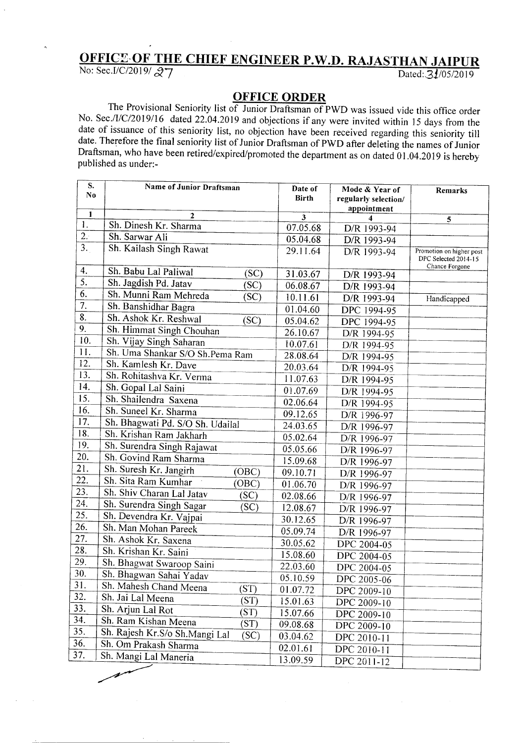## **OFFIC£-OF THE CHIEF ENGINEER P.W.D. RAJASTHAN JAIPUR**

No: Sec.I/C/2019/ 27 **Dated:** 31/05/20

A

- - - --------

## **OFFICE ORDER**

The Provisional Seniority list of Junior Draftsman of PWD was issued vide this office order No. Sec./I/C/2019/16 dated 22.04.2019 and objections if any were invited within 15 days from the date of issuance of this seniority list, no objection have been received regarding this seniority till date. Therefore the final seniority list of Junior Draftsman of PWD after deleting the names of Junior Draftsman, who have been retired/expired/promoted the department as on dated 01.04.2019 is hereby published as under.-

|                   | S.           | <b>Name of Junior Draftsman</b>  |       | Date of      | Mode & Year of       | Remarks                                                            |
|-------------------|--------------|----------------------------------|-------|--------------|----------------------|--------------------------------------------------------------------|
|                   | No           |                                  |       | <b>Birth</b> | regularly selection/ |                                                                    |
|                   | $\mathbf{1}$ |                                  |       |              | appointment          |                                                                    |
| 1.                |              | 2<br>Sh. Dinesh Kr. Sharma       |       | 3            |                      | 5                                                                  |
| 2.1               |              | Sh. Sarwar Ali                   |       | 07.05.68     | D/R 1993-94          |                                                                    |
| $\overline{3.}$   |              | Sh. Kailash Singh Rawat          |       | 05.04.68     | D/R 1993-94          |                                                                    |
|                   |              |                                  |       | 29.11.64     | D/R 1993-94          | Promotion on higher post<br>DPC Selected 2014-15<br>Chance Forgone |
| 4.                |              | Sh. Babu Lal Paliwal             | (SC)  | 31.03.67     | D/R 1993-94          |                                                                    |
| $\overline{5}$ .  |              | Sh. Jagdish Pd. Jatav            | (SC)  | 06.08.67     | D/R 1993-94          |                                                                    |
| 6.                |              | Sh. Munni Ram Mehreda            | SC)   | 10.11.61     | D/R 1993-94          | Handicapped                                                        |
| 7.                |              | Sh. Banshidhar Bagra             |       | 01.04.60     | DPC 1994-95          |                                                                    |
| 8.                |              | Sh. Ashok Kr. Reshwal            | (SC)  | 05.04.62     | DPC 1994-95          |                                                                    |
| 9.                |              | Sh. Himmat Singh Chouhan         |       | 26.10.67     | D/R 1994-95          |                                                                    |
| 10.               |              | Sh. Vijay Singh Saharan          |       | 10.07.61     | D/R 1994-95          |                                                                    |
| 11.               |              | Sh. Uma Shankar S/O Sh. Pema Ram |       | 28.08.64     | D/R 1994-95          |                                                                    |
| 12.               |              | Sh. Kamlesh Kr. Dave             |       | 20.03.64     | D/R 1994-95          |                                                                    |
| 13.               |              | Sh. Rohitashva Kr. Verma         |       | 11.07.63     | D/R 1994-95          |                                                                    |
| 14.               |              | Sh. Gopal Lal Saini              |       | 01.07.69     | D/R 1994-95          |                                                                    |
| 15.               |              | Sh. Shailendra Saxena            |       | 02.06.64     | D/R 1994-95          |                                                                    |
| 16.               |              | Sh. Suneel Kr. Sharma            |       | 09.12.65     | D/R 1996-97          |                                                                    |
| 17.               |              | Sh. Bhagwati Pd. S/O Sh. Udailal |       | 24.03.65     | D/R 1996-97          |                                                                    |
| 18.               |              | Sh. Krishan Ram Jakharh          |       | 05.02.64     | D/R 1996-97          |                                                                    |
| 19.               |              | Sh. Surendra Singh Rajawat       |       | 05.05.66     | D/R 1996-97          |                                                                    |
| 20.               |              | Sh. Govind Ram Sharma            |       | 15.09.68     | D/R 1996-97          |                                                                    |
| $\overline{21}$ . |              | Sh. Suresh Kr. Jangirh           | (OBC) | 09.10.71     | D/R 1996-97          |                                                                    |
| $\overline{22}$ . |              | Sh. Sita Ram Kumhar              | (OBC) | 01.06.70     | D/R 1996-97          |                                                                    |
| 23.               |              | Sh. Shiv Charan Lal Jatav        | (SC)  | 02.08.66     | D/R 1996-97          |                                                                    |
| 24.               |              | Sh. Surendra Singh Sagar         | (SC)  | 12.08.67     | D/R 1996-97          |                                                                    |
| 25.               |              | Sh. Devendra Kr. Vajpai          |       | 30.12.65     | D/R 1996-97          |                                                                    |
| 26.               |              | Sh. Man Mohan Pareek             |       | 05.09.74     | D/R 1996-97          |                                                                    |
| 27.               |              | Sh. Ashok Kr. Saxena             |       | 30.05.62     | DPC 2004-05          |                                                                    |
| 28.               |              | Sh. Krishan Kr. Saini            |       | 15.08.60     | DPC 2004-05          |                                                                    |
| 29.               |              | Sh. Bhagwat Swaroop Saini        |       | 22.03.60     | DPC 2004-05          |                                                                    |
| 30.               |              | Sh. Bhagwan Sahai Yadav          |       | 05.10.59     | DPC 2005-06          |                                                                    |
| 31.               |              | Sh. Mahesh Chand Meena           | (ST)  | 01.07.72     | DPC 2009-10          |                                                                    |
| 32.               |              | Sh. Jai Lal Meena                | (ST)  | 15.01.63     | DPC 2009-10          |                                                                    |
| 33.               |              | Sh. Arjun Lal Rot                | (ST)  | 15.07.66     | DPC 2009-10          |                                                                    |
| 34.               |              | Sh. Ram Kishan Meena             | (ST)  | 09.08.68     | DPC 2009-10          |                                                                    |
| 35.               |              | Sh. Rajesh Kr.S/o Sh.Mangi Lal   | (SC)  | 03.04.62     | DPC 2010-11          |                                                                    |
| 36.               |              | Sh. Om Prakash Sharma            |       | 02.01.61     | DPC 2010-11          |                                                                    |
| 37.               |              | Sh. Mangi Lal Maneria            |       | 13.09.59     | DPC 2011-12          |                                                                    |
|                   |              |                                  |       |              |                      |                                                                    |